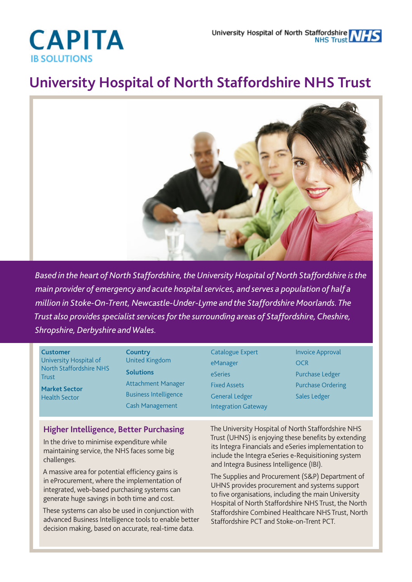

# **University Hospital of North Staffordshire NHS Trust**



*Based in the heart of North Staffordshire, the University Hospital of North Staffordshire is the main provider of emergency and acute hospital services, and serves a population of half a million in Stoke-On-Trent, Newcastle-Under-Lyme and the Staffordshire Moorlands. The Trust also provides specialist services for the surrounding areas of Staffordshire, Cheshire, Shropshire, Derbyshire and Wales.*

#### **Customer**

University Hospital of North Staffordshire NHS **Trust** 

**Market Sector** Health Sector

## **Country** United Kingdom **Solutions** Attachment Manager

Business Intelligence Cash Management

Catalogue Expert eManager eSeries Fixed Assets General Ledger Integration Gateway Invoice Approval **OCR** Purchase Ledger Purchase Ordering Sales Ledger

### **Higher Intelligence, Better Purchasing**

In the drive to minimise expenditure while maintaining service, the NHS faces some big challenges.

A massive area for potential efficiency gains is in eProcurement, where the implementation of integrated, web-based purchasing systems can generate huge savings in both time and cost.

These systems can also be used in conjunction with advanced Business Intelligence tools to enable better decision making, based on accurate, real-time data.

The University Hospital of North Staffordshire NHS Trust (UHNS) is enjoying these benefits by extending its Integra Financials and eSeries implementation to include the Integra eSeries e-Requisitioning system and Integra Business Intelligence (IBI).

The Supplies and Procurement (S&P) Department of UHNS provides procurement and systems support to five organisations, including the main University Hospital of North Staffordshire NHS Trust, the North Staffordshire Combined Healthcare NHS Trust, North Staffordshire PCT and Stoke-on-Trent PCT.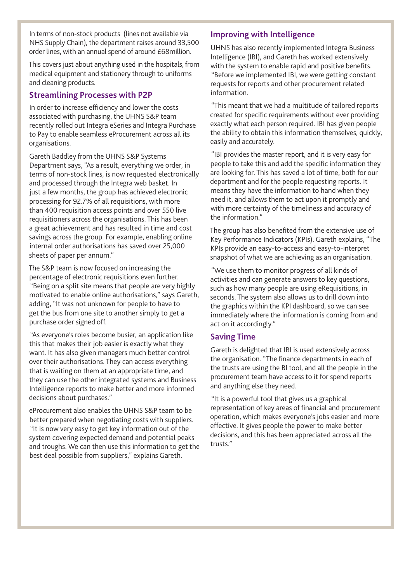In terms of non-stock products (lines not available via NHS Supply Chain), the department raises around 33,500 order lines, with an annual spend of around £68million.

This covers just about anything used in the hospitals, from medical equipment and stationery through to uniforms and cleaning products.

#### **Streamlining Processes with P2P**

In order to increase efficiency and lower the costs associated with purchasing, the UHNS S&P team recently rolled out Integra eSeries and Integra Purchase to Pay to enable seamless eProcurement across all its organisations.

Gareth Baddley from the UHNS S&P Systems Department says, "As a result, everything we order, in terms of non-stock lines, is now requested electronically and processed through the Integra web basket. In just a few months, the group has achieved electronic processing for 92.7% of all requisitions, with more than 400 requisition access points and over 550 live requisitioners across the organisations. This has been a great achievement and has resulted in time and cost savings across the group. For example, enabling online internal order authorisations has saved over 25,000 sheets of paper per annum."

The S&P team is now focused on increasing the percentage of electronic requisitions even further. "Being on a split site means that people are very highly motivated to enable online authorisations," says Gareth, adding, "It was not unknown for people to have to get the bus from one site to another simply to get a purchase order signed off.

 "As everyone's roles become busier, an application like this that makes their job easier is exactly what they want. It has also given managers much better control over their authorisations. They can access everything that is waiting on them at an appropriate time, and they can use the other integrated systems and Business Intelligence reports to make better and more informed decisions about purchases."

eProcurement also enables the UHNS S&P team to be better prepared when negotiating costs with suppliers. "It is now very easy to get key information out of the system covering expected demand and potential peaks and troughs. We can then use this information to get the best deal possible from suppliers," explains Gareth.

#### **Improving with Intelligence**

UHNS has also recently implemented Integra Business Intelligence (IBI), and Gareth has worked extensively with the system to enable rapid and positive benefits. "Before we implemented IBI, we were getting constant requests for reports and other procurement related information.

 "This meant that we had a multitude of tailored reports created for specific requirements without ever providing exactly what each person required. IBI has given people the ability to obtain this information themselves, quickly, easily and accurately.

 "IBI provides the master report, and it is very easy for people to take this and add the specific information they are looking for. This has saved a lot of time, both for our department and for the people requesting reports. It means they have the information to hand when they need it, and allows them to act upon it promptly and with more certainty of the timeliness and accuracy of the information."

The group has also benefited from the extensive use of Key Performance Indicators (KPIs). Gareth explains, "The KPIs provide an easy-to-access and easy-to-interpret snapshot of what we are achieving as an organisation.

 "We use them to monitor progress of all kinds of activities and can generate answers to key questions, such as how many people are using eRequisitions, in seconds. The system also allows us to drill down into the graphics within the KPI dashboard, so we can see immediately where the information is coming from and act on it accordingly."

#### **Saving Time**

Gareth is delighted that IBI is used extensively across the organisation. "The finance departments in each of the trusts are using the BI tool, and all the people in the procurement team have access to it for spend reports and anything else they need.

 "It is a powerful tool that gives us a graphical representation of key areas of financial and procurement operation, which makes everyone's jobs easier and more effective. It gives people the power to make better decisions, and this has been appreciated across all the trusts."